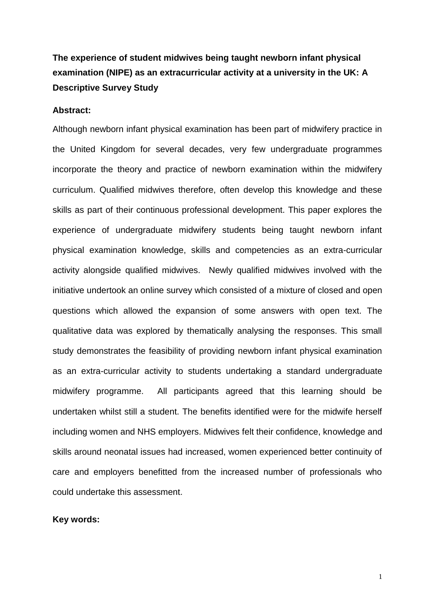# **The experience of student midwives being taught newborn infant physical examination (NIPE) as an extracurricular activity at a university in the UK: A Descriptive Survey Study**

### **Abstract:**

Although newborn infant physical examination has been part of midwifery practice in the United Kingdom for several decades, very few undergraduate programmes incorporate the theory and practice of newborn examination within the midwifery curriculum. Qualified midwives therefore, often develop this knowledge and these skills as part of their continuous professional development. This paper explores the experience of undergraduate midwifery students being taught newborn infant physical examination knowledge, skills and competencies as an extra-curricular activity alongside qualified midwives. Newly qualified midwives involved with the initiative undertook an online survey which consisted of a mixture of closed and open questions which allowed the expansion of some answers with open text. The qualitative data was explored by thematically analysing the responses. This small study demonstrates the feasibility of providing newborn infant physical examination as an extra-curricular activity to students undertaking a standard undergraduate midwifery programme. All participants agreed that this learning should be undertaken whilst still a student. The benefits identified were for the midwife herself including women and NHS employers. Midwives felt their confidence, knowledge and skills around neonatal issues had increased, women experienced better continuity of care and employers benefitted from the increased number of professionals who could undertake this assessment.

### **Key words:**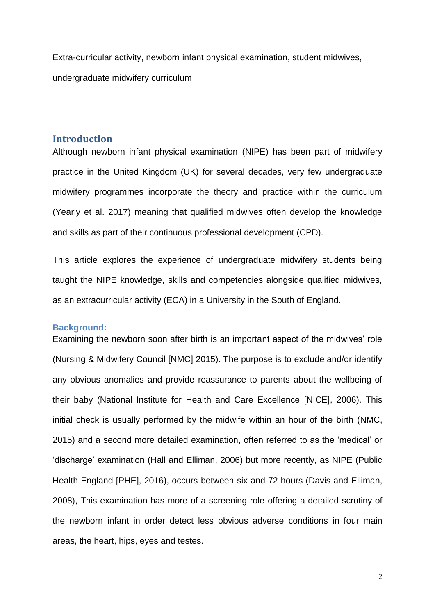Extra-curricular activity, newborn infant physical examination, student midwives, undergraduate midwifery curriculum

### **Introduction**

Although newborn infant physical examination (NIPE) has been part of midwifery practice in the United Kingdom (UK) for several decades, very few undergraduate midwifery programmes incorporate the theory and practice within the curriculum (Yearly et al. 2017) meaning that qualified midwives often develop the knowledge and skills as part of their continuous professional development (CPD).

This article explores the experience of undergraduate midwifery students being taught the NIPE knowledge, skills and competencies alongside qualified midwives, as an extracurricular activity (ECA) in a University in the South of England.

#### **Background:**

Examining the newborn soon after birth is an important aspect of the midwives' role (Nursing & Midwifery Council [NMC] 2015). The purpose is to exclude and/or identify any obvious anomalies and provide reassurance to parents about the wellbeing of their baby (National Institute for Health and Care Excellence [NICE], 2006). This initial check is usually performed by the midwife within an hour of the birth (NMC, 2015) and a second more detailed examination, often referred to as the 'medical' or 'discharge' examination (Hall and Elliman, 2006) but more recently, as NIPE (Public Health England [PHE], 2016), occurs between six and 72 hours (Davis and Elliman, 2008), This examination has more of a screening role offering a detailed scrutiny of the newborn infant in order detect less obvious adverse conditions in four main areas, the heart, hips, eyes and testes.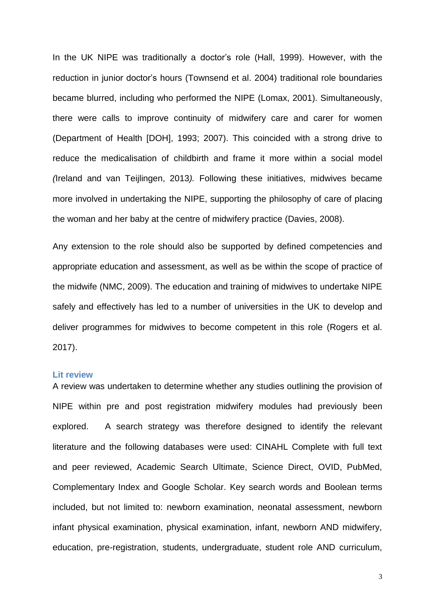In the UK NIPE was traditionally a doctor's role (Hall, 1999). However, with the reduction in junior doctor's hours (Townsend et al. 2004) traditional role boundaries became blurred, including who performed the NIPE (Lomax, 2001). Simultaneously, there were calls to improve continuity of midwifery care and carer for women (Department of Health [DOH], 1993; 2007). This coincided with a strong drive to reduce the medicalisation of childbirth and frame it more within a social model *(*Ireland and van Teijlingen, 2013*).* Following these initiatives, midwives became more involved in undertaking the NIPE, supporting the philosophy of care of placing the woman and her baby at the centre of midwifery practice (Davies, 2008).

Any extension to the role should also be supported by defined competencies and appropriate education and assessment, as well as be within the scope of practice of the midwife (NMC, 2009). The education and training of midwives to undertake NIPE safely and effectively has led to a number of universities in the UK to develop and deliver programmes for midwives to become competent in this role (Rogers et al. 2017).

#### **Lit review**

A review was undertaken to determine whether any studies outlining the provision of NIPE within pre and post registration midwifery modules had previously been explored. A search strategy was therefore designed to identify the relevant literature and the following databases were used: CINAHL Complete with full text and peer reviewed, Academic Search Ultimate, Science Direct, OVID, PubMed, Complementary Index and Google Scholar. Key search words and Boolean terms included, but not limited to: newborn examination, neonatal assessment, newborn infant physical examination, physical examination, infant, newborn AND midwifery, education, pre-registration, students, undergraduate, student role AND curriculum,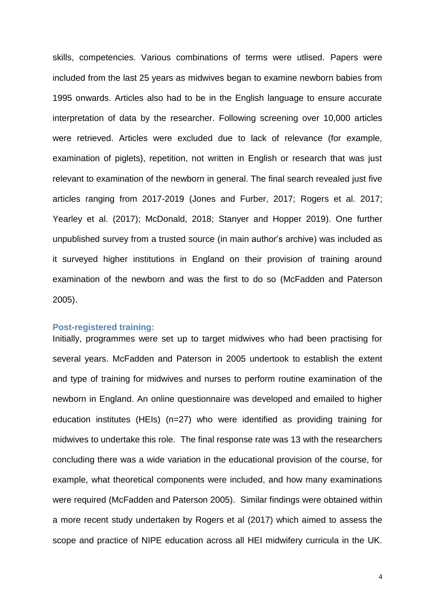skills, competencies. Various combinations of terms were utlised. Papers were included from the last 25 years as midwives began to examine newborn babies from 1995 onwards. Articles also had to be in the English language to ensure accurate interpretation of data by the researcher. Following screening over 10,000 articles were retrieved. Articles were excluded due to lack of relevance (for example, examination of piglets), repetition, not written in English or research that was just relevant to examination of the newborn in general. The final search revealed just five articles ranging from 2017-2019 (Jones and Furber, 2017; Rogers et al. 2017; Yearley et al. (2017); McDonald, 2018; Stanyer and Hopper 2019). One further unpublished survey from a trusted source (in main author's archive) was included as it surveyed higher institutions in England on their provision of training around examination of the newborn and was the first to do so (McFadden and Paterson 2005).

### **Post-registered training:**

Initially, programmes were set up to target midwives who had been practising for several years. McFadden and Paterson in 2005 undertook to establish the extent and type of training for midwives and nurses to perform routine examination of the newborn in England. An online questionnaire was developed and emailed to higher education institutes (HEIs) (n=27) who were identified as providing training for midwives to undertake this role. The final response rate was 13 with the researchers concluding there was a wide variation in the educational provision of the course, for example, what theoretical components were included, and how many examinations were required (McFadden and Paterson 2005). Similar findings were obtained within a more recent study undertaken by Rogers et al (2017) which aimed to assess the scope and practice of NIPE education across all HEI midwifery curricula in the UK.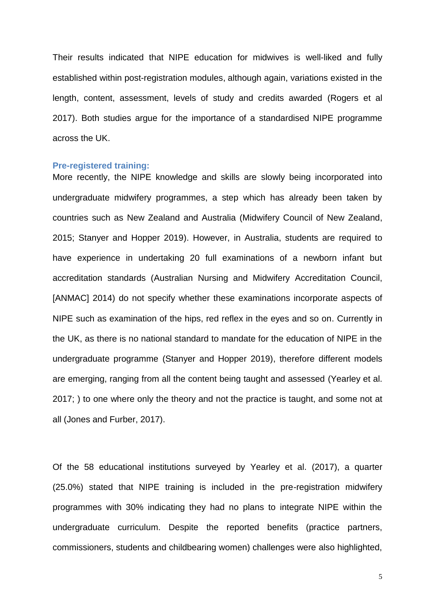Their results indicated that NIPE education for midwives is well-liked and fully established within post-registration modules, although again, variations existed in the length, content, assessment, levels of study and credits awarded (Rogers et al 2017). Both studies argue for the importance of a standardised NIPE programme across the UK.

#### **Pre-registered training:**

More recently, the NIPE knowledge and skills are slowly being incorporated into undergraduate midwifery programmes, a step which has already been taken by countries such as New Zealand and Australia (Midwifery Council of New Zealand, 2015; Stanyer and Hopper 2019). However, in Australia, students are required to have experience in undertaking 20 full examinations of a newborn infant but accreditation standards (Australian Nursing and Midwifery Accreditation Council, [ANMAC] 2014) do not specify whether these examinations incorporate aspects of NIPE such as examination of the hips, red reflex in the eyes and so on. Currently in the UK, as there is no national standard to mandate for the education of NIPE in the undergraduate programme (Stanyer and Hopper 2019), therefore different models are emerging, ranging from all the content being taught and assessed (Yearley et al. 2017; ) to one where only the theory and not the practice is taught, and some not at all (Jones and Furber, 2017).

Of the 58 educational institutions surveyed by Yearley et al. (2017), a quarter (25.0%) stated that NIPE training is included in the pre-registration midwifery programmes with 30% indicating they had no plans to integrate NIPE within the undergraduate curriculum. Despite the reported benefits (practice partners, commissioners, students and childbearing women) challenges were also highlighted,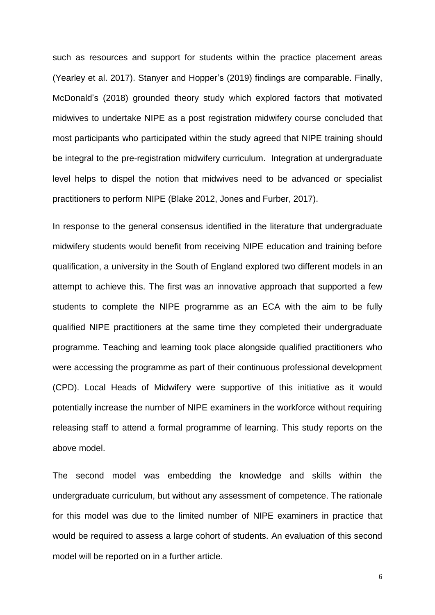such as resources and support for students within the practice placement areas (Yearley et al. 2017). Stanyer and Hopper's (2019) findings are comparable. Finally, McDonald's (2018) grounded theory study which explored factors that motivated midwives to undertake NIPE as a post registration midwifery course concluded that most participants who participated within the study agreed that NIPE training should be integral to the pre-registration midwifery curriculum. Integration at undergraduate level helps to dispel the notion that midwives need to be advanced or specialist practitioners to perform NIPE (Blake 2012, Jones and Furber, 2017).

In response to the general consensus identified in the literature that undergraduate midwifery students would benefit from receiving NIPE education and training before qualification, a university in the South of England explored two different models in an attempt to achieve this. The first was an innovative approach that supported a few students to complete the NIPE programme as an ECA with the aim to be fully qualified NIPE practitioners at the same time they completed their undergraduate programme. Teaching and learning took place alongside qualified practitioners who were accessing the programme as part of their continuous professional development (CPD). Local Heads of Midwifery were supportive of this initiative as it would potentially increase the number of NIPE examiners in the workforce without requiring releasing staff to attend a formal programme of learning. This study reports on the above model.

The second model was embedding the knowledge and skills within the undergraduate curriculum, but without any assessment of competence. The rationale for this model was due to the limited number of NIPE examiners in practice that would be required to assess a large cohort of students. An evaluation of this second model will be reported on in a further article.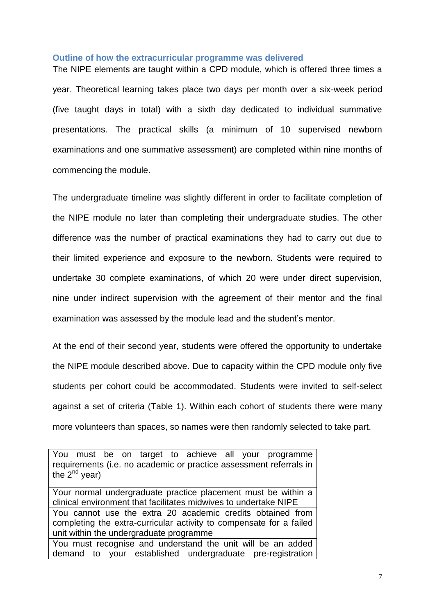#### **Outline of how the extracurricular programme was delivered**

The NIPE elements are taught within a CPD module, which is offered three times a year. Theoretical learning takes place two days per month over a six-week period (five taught days in total) with a sixth day dedicated to individual summative presentations. The practical skills (a minimum of 10 supervised newborn examinations and one summative assessment) are completed within nine months of commencing the module.

The undergraduate timeline was slightly different in order to facilitate completion of the NIPE module no later than completing their undergraduate studies. The other difference was the number of practical examinations they had to carry out due to their limited experience and exposure to the newborn. Students were required to undertake 30 complete examinations, of which 20 were under direct supervision, nine under indirect supervision with the agreement of their mentor and the final examination was assessed by the module lead and the student's mentor.

At the end of their second year, students were offered the opportunity to undertake the NIPE module described above. Due to capacity within the CPD module only five students per cohort could be accommodated. Students were invited to self-select against a set of criteria (Table 1). Within each cohort of students there were many more volunteers than spaces, so names were then randomly selected to take part.

You must be on target to achieve all your programme requirements (i.e. no academic or practice assessment referrals in the  $2^{nd}$  year)

Your normal undergraduate practice placement must be within a clinical environment that facilitates midwives to undertake NIPE You cannot use the extra 20 academic credits obtained from completing the extra-curricular activity to compensate for a failed unit within the undergraduate programme You must recognise and understand the unit will be an added demand to your established undergraduate pre-registration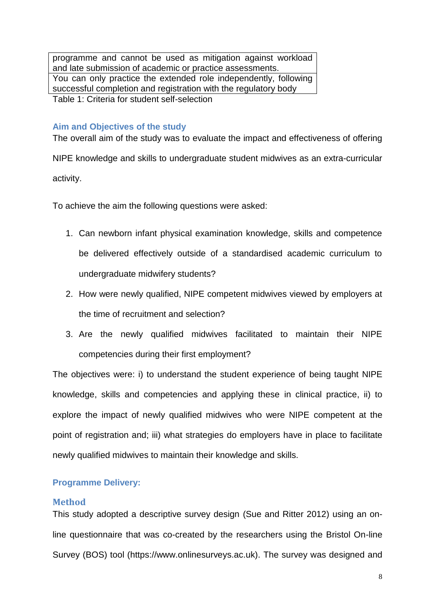programme and cannot be used as mitigation against workload and late submission of academic or practice assessments. You can only practice the extended role independently, following successful completion and registration with the regulatory body Table 1: Criteria for student self-selection

### **Aim and Objectives of the study**

The overall aim of the study was to evaluate the impact and effectiveness of offering NIPE knowledge and skills to undergraduate student midwives as an extra-curricular activity.

To achieve the aim the following questions were asked:

- 1. Can newborn infant physical examination knowledge, skills and competence be delivered effectively outside of a standardised academic curriculum to undergraduate midwifery students?
- 2. How were newly qualified, NIPE competent midwives viewed by employers at the time of recruitment and selection?
- 3. Are the newly qualified midwives facilitated to maintain their NIPE competencies during their first employment?

The objectives were: i) to understand the student experience of being taught NIPE knowledge, skills and competencies and applying these in clinical practice, ii) to explore the impact of newly qualified midwives who were NIPE competent at the point of registration and; iii) what strategies do employers have in place to facilitate newly qualified midwives to maintain their knowledge and skills.

### **Programme Delivery:**

#### **Method**

This study adopted a descriptive survey design (Sue and Ritter 2012) using an online questionnaire that was co-created by the researchers using the Bristol On-line Survey (BOS) tool (https://www.onlinesurveys.ac.uk). The survey was designed and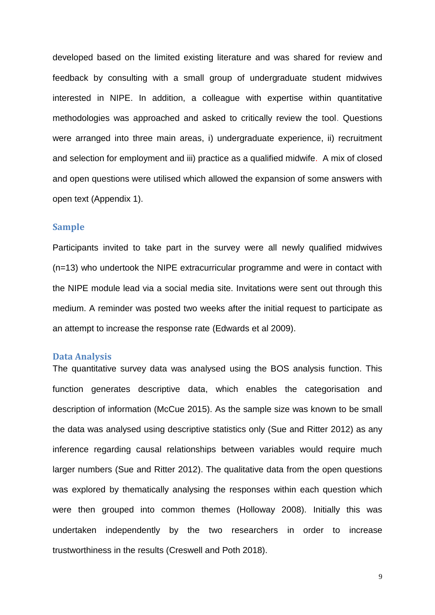developed based on the limited existing literature and was shared for review and feedback by consulting with a small group of undergraduate student midwives interested in NIPE. In addition, a colleague with expertise within quantitative methodologies was approached and asked to critically review the tool. Questions were arranged into three main areas, i) undergraduate experience, ii) recruitment and selection for employment and iii) practice as a qualified midwife. A mix of closed and open questions were utilised which allowed the expansion of some answers with open text (Appendix 1).

#### **Sample**

Participants invited to take part in the survey were all newly qualified midwives (n=13) who undertook the NIPE extracurricular programme and were in contact with the NIPE module lead via a social media site. Invitations were sent out through this medium. A reminder was posted two weeks after the initial request to participate as an attempt to increase the response rate (Edwards et al 2009).

### **Data Analysis**

The quantitative survey data was analysed using the BOS analysis function. This function generates descriptive data, which enables the categorisation and description of information (McCue 2015). As the sample size was known to be small the data was analysed using descriptive statistics only (Sue and Ritter 2012) as any inference regarding causal relationships between variables would require much larger numbers (Sue and Ritter 2012). The qualitative data from the open questions was explored by thematically analysing the responses within each question which were then grouped into common themes (Holloway 2008). Initially this was undertaken independently by the two researchers in order to increase trustworthiness in the results (Creswell and Poth 2018).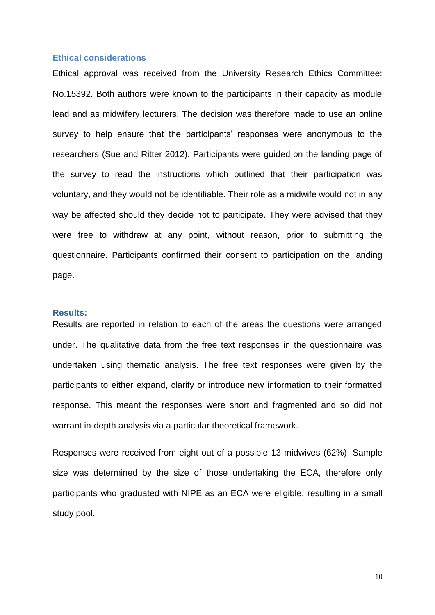### **Ethical considerations**

Ethical approval was received from the University Research Ethics Committee: No.15392. Both authors were known to the participants in their capacity as module lead and as midwifery lecturers. The decision was therefore made to use an online survey to help ensure that the participants' responses were anonymous to the researchers (Sue and Ritter 2012). Participants were guided on the landing page of the survey to read the instructions which outlined that their participation was voluntary, and they would not be identifiable. Their role as a midwife would not in any way be affected should they decide not to participate. They were advised that they were free to withdraw at any point, without reason, prior to submitting the questionnaire. Participants confirmed their consent to participation on the landing page.

#### **Results:**

Results are reported in relation to each of the areas the questions were arranged under. The qualitative data from the free text responses in the questionnaire was undertaken using thematic analysis. The free text responses were given by the participants to either expand, clarify or introduce new information to their formatted response. This meant the responses were short and fragmented and so did not warrant in-depth analysis via a particular theoretical framework.

Responses were received from eight out of a possible 13 midwives (62%). Sample size was determined by the size of those undertaking the ECA, therefore only participants who graduated with NIPE as an ECA were eligible, resulting in a small study pool.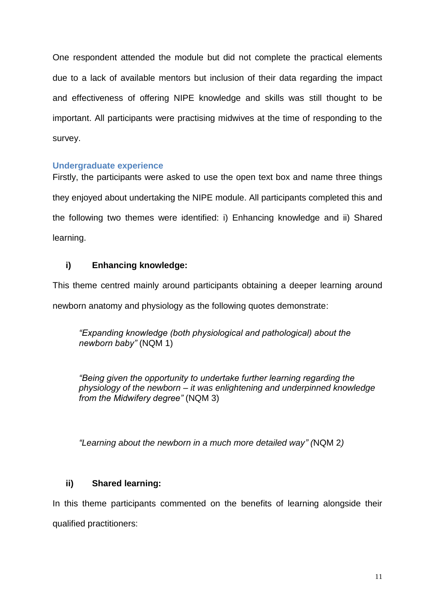One respondent attended the module but did not complete the practical elements due to a lack of available mentors but inclusion of their data regarding the impact and effectiveness of offering NIPE knowledge and skills was still thought to be important. All participants were practising midwives at the time of responding to the survey.

### **Undergraduate experience**

Firstly, the participants were asked to use the open text box and name three things they enjoyed about undertaking the NIPE module. All participants completed this and the following two themes were identified: i) Enhancing knowledge and ii) Shared learning.

# **i) Enhancing knowledge:**

This theme centred mainly around participants obtaining a deeper learning around newborn anatomy and physiology as the following quotes demonstrate:

*"Expanding knowledge (both physiological and pathological) about the newborn baby"* (NQM 1)

*"Being given the opportunity to undertake further learning regarding the physiology of the newborn – it was enlightening and underpinned knowledge from the Midwifery degree"* (NQM 3)

*"Learning about the newborn in a much more detailed way" (*NQM 2*)*

# **ii) Shared learning:**

In this theme participants commented on the benefits of learning alongside their qualified practitioners: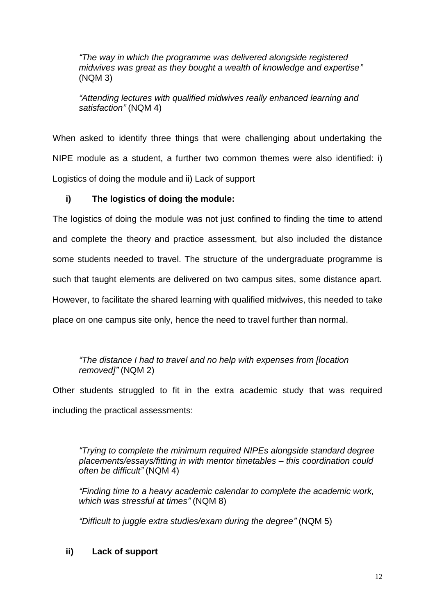*"The way in which the programme was delivered alongside registered midwives was great as they bought a wealth of knowledge and expertise"* (NQM 3)

*"Attending lectures with qualified midwives really enhanced learning and satisfaction"* (NQM 4)

When asked to identify three things that were challenging about undertaking the NIPE module as a student, a further two common themes were also identified: i) Logistics of doing the module and ii) Lack of support

# **i) The logistics of doing the module:**

The logistics of doing the module was not just confined to finding the time to attend and complete the theory and practice assessment, but also included the distance some students needed to travel. The structure of the undergraduate programme is such that taught elements are delivered on two campus sites, some distance apart. However, to facilitate the shared learning with qualified midwives, this needed to take place on one campus site only, hence the need to travel further than normal.

# *"The distance I had to travel and no help with expenses from [location removed]"* (NQM 2)

Other students struggled to fit in the extra academic study that was required including the practical assessments:

*"Trying to complete the minimum required NIPEs alongside standard degree placements/essays/fitting in with mentor timetables – this coordination could often be difficult"* (NQM 4)

*"Finding time to a heavy academic calendar to complete the academic work, which was stressful at times"* (NQM 8)

*"Difficult to juggle extra studies/exam during the degree"* (NQM 5)

# **ii) Lack of support**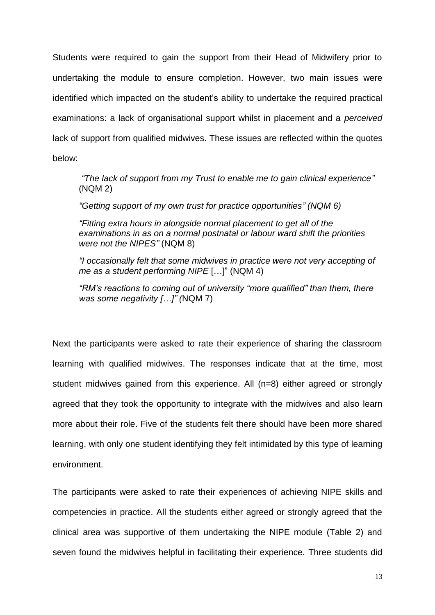Students were required to gain the support from their Head of Midwifery prior to undertaking the module to ensure completion. However, two main issues were identified which impacted on the student's ability to undertake the required practical examinations: a lack of organisational support whilst in placement and a *perceived*  lack of support from qualified midwives. These issues are reflected within the quotes below:

*"The lack of support from my Trust to enable me to gain clinical experience"* (NQM 2)

*"Getting support of my own trust for practice opportunities" (NQM 6)*

*"Fitting extra hours in alongside normal placement to get all of the examinations in as on a normal postnatal or labour ward shift the priorities were not the NIPES"* (NQM 8)

*"I occasionally felt that some midwives in practice were not very accepting of me as a student performing NIPE* […]" (NQM 4)

*"RM's reactions to coming out of university "more qualified" than them, there was some negativity […]" (*NQM 7)

Next the participants were asked to rate their experience of sharing the classroom learning with qualified midwives. The responses indicate that at the time, most student midwives gained from this experience. All (n=8) either agreed or strongly agreed that they took the opportunity to integrate with the midwives and also learn more about their role. Five of the students felt there should have been more shared learning, with only one student identifying they felt intimidated by this type of learning environment.

The participants were asked to rate their experiences of achieving NIPE skills and competencies in practice. All the students either agreed or strongly agreed that the clinical area was supportive of them undertaking the NIPE module (Table 2) and seven found the midwives helpful in facilitating their experience. Three students did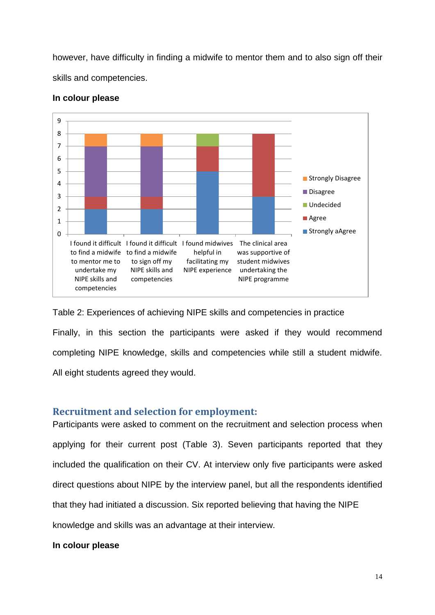however, have difficulty in finding a midwife to mentor them and to also sign off their skills and competencies.



### **In colour please**

Table 2: Experiences of achieving NIPE skills and competencies in practice Finally, in this section the participants were asked if they would recommend completing NIPE knowledge, skills and competencies while still a student midwife. All eight students agreed they would.

### **Recruitment and selection for employment:**

Participants were asked to comment on the recruitment and selection process when applying for their current post (Table 3). Seven participants reported that they included the qualification on their CV. At interview only five participants were asked direct questions about NIPE by the interview panel, but all the respondents identified that they had initiated a discussion. Six reported believing that having the NIPE knowledge and skills was an advantage at their interview.

### **In colour please**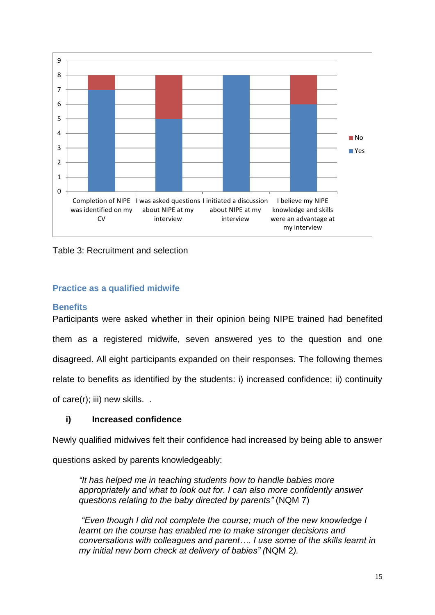

Table 3: Recruitment and selection

# **Practice as a qualified midwife**

### **Benefits**

Participants were asked whether in their opinion being NIPE trained had benefited them as a registered midwife, seven answered yes to the question and one disagreed. All eight participants expanded on their responses. The following themes relate to benefits as identified by the students: i) increased confidence; ii) continuity of care(r); iii) new skills. .

### **i) Increased confidence**

Newly qualified midwives felt their confidence had increased by being able to answer

questions asked by parents knowledgeably:

*"It has helped me in teaching students how to handle babies more appropriately and what to look out for. I can also more confidently answer questions relating to the baby directed by parents"* (NQM 7)

*"Even though I did not complete the course; much of the new knowledge I learnt on the course has enabled me to make stronger decisions and conversations with colleagues and parent…. I use some of the skills learnt in my initial new born check at delivery of babies" (*NQM 2*).*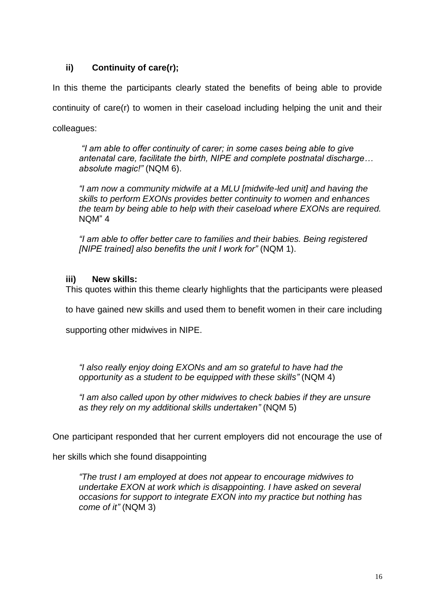# **ii) Continuity of care(r);**

In this theme the participants clearly stated the benefits of being able to provide continuity of care(r) to women in their caseload including helping the unit and their colleagues:

*"I am able to offer continuity of carer; in some cases being able to give antenatal care, facilitate the birth, NIPE and complete postnatal discharge… absolute magic!"* (NQM 6).

*"I am now a community midwife at a MLU [midwife-led unit] and having the skills to perform EXONs provides better continuity to women and enhances the team by being able to help with their caseload where EXONs are required.* NQM" 4

*"I am able to offer better care to families and their babies. Being registered [NIPE trained] also benefits the unit I work for"* (NQM 1).

# **iii) New skills:**

This quotes within this theme clearly highlights that the participants were pleased

to have gained new skills and used them to benefit women in their care including

supporting other midwives in NIPE.

*"I also really enjoy doing EXONs and am so grateful to have had the opportunity as a student to be equipped with these skills"* (NQM 4)

*"I am also called upon by other midwives to check babies if they are unsure as they rely on my additional skills undertaken"* (NQM 5)

One participant responded that her current employers did not encourage the use of

her skills which she found disappointing

*"The trust I am employed at does not appear to encourage midwives to undertake EXON at work which is disappointing. I have asked on several occasions for support to integrate EXON into my practice but nothing has come of it"* (NQM 3)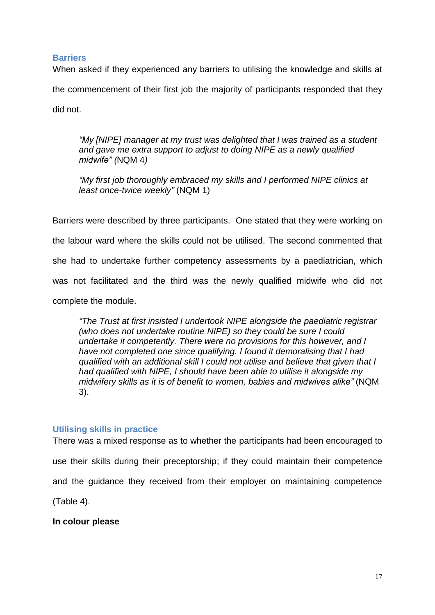### **Barriers**

When asked if they experienced any barriers to utilising the knowledge and skills at the commencement of their first job the majority of participants responded that they did not.

*"My [NIPE] manager at my trust was delighted that I was trained as a student and gave me extra support to adjust to doing NIPE as a newly qualified midwife" (*NQM 4*)*

*"My first job thoroughly embraced my skills and I performed NIPE clinics at least once-twice weekly"* (NQM 1)

Barriers were described by three participants. One stated that they were working on the labour ward where the skills could not be utilised. The second commented that she had to undertake further competency assessments by a paediatrician, which was not facilitated and the third was the newly qualified midwife who did not complete the module.

*"The Trust at first insisted I undertook NIPE alongside the paediatric registrar (who does not undertake routine NIPE) so they could be sure I could undertake it competently. There were no provisions for this however, and I have not completed one since qualifying. I found it demoralising that I had qualified with an additional skill I could not utilise and believe that given that I had qualified with NIPE, I should have been able to utilise it alongside my midwifery skills as it is of benefit to women, babies and midwives alike"* (NQM 3).

### **Utilising skills in practice**

There was a mixed response as to whether the participants had been encouraged to use their skills during their preceptorship; if they could maintain their competence and the guidance they received from their employer on maintaining competence (Table 4).

**In colour please**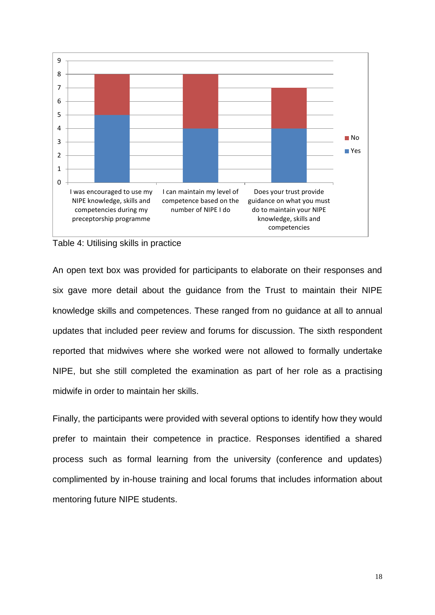



An open text box was provided for participants to elaborate on their responses and six gave more detail about the guidance from the Trust to maintain their NIPE knowledge skills and competences. These ranged from no guidance at all to annual updates that included peer review and forums for discussion. The sixth respondent reported that midwives where she worked were not allowed to formally undertake NIPE, but she still completed the examination as part of her role as a practising midwife in order to maintain her skills.

Finally, the participants were provided with several options to identify how they would prefer to maintain their competence in practice. Responses identified a shared process such as formal learning from the university (conference and updates) complimented by in-house training and local forums that includes information about mentoring future NIPE students.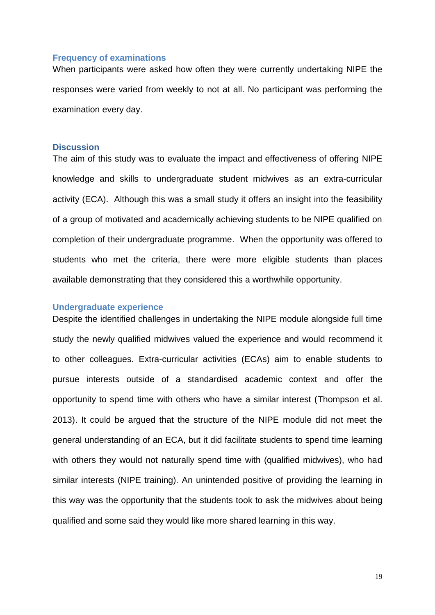### **Frequency of examinations**

When participants were asked how often they were currently undertaking NIPE the responses were varied from weekly to not at all. No participant was performing the examination every day.

### **Discussion**

The aim of this study was to evaluate the impact and effectiveness of offering NIPE knowledge and skills to undergraduate student midwives as an extra-curricular activity (ECA). Although this was a small study it offers an insight into the feasibility of a group of motivated and academically achieving students to be NIPE qualified on completion of their undergraduate programme. When the opportunity was offered to students who met the criteria, there were more eligible students than places available demonstrating that they considered this a worthwhile opportunity.

#### **Undergraduate experience**

Despite the identified challenges in undertaking the NIPE module alongside full time study the newly qualified midwives valued the experience and would recommend it to other colleagues. Extra-curricular activities (ECAs) aim to enable students to pursue interests outside of a standardised academic context and offer the opportunity to spend time with others who have a similar interest (Thompson et al. 2013). It could be argued that the structure of the NIPE module did not meet the general understanding of an ECA, but it did facilitate students to spend time learning with others they would not naturally spend time with (qualified midwives), who had similar interests (NIPE training). An unintended positive of providing the learning in this way was the opportunity that the students took to ask the midwives about being qualified and some said they would like more shared learning in this way.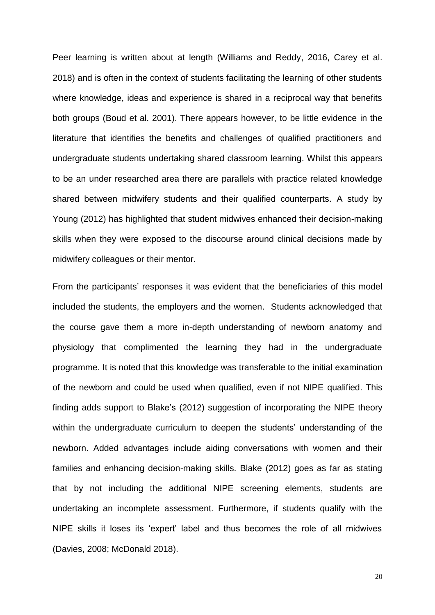Peer learning is written about at length (Williams and Reddy, 2016, Carey et al. 2018) and is often in the context of students facilitating the learning of other students where knowledge, ideas and experience is shared in a reciprocal way that benefits both groups (Boud et al. 2001). There appears however, to be little evidence in the literature that identifies the benefits and challenges of qualified practitioners and undergraduate students undertaking shared classroom learning. Whilst this appears to be an under researched area there are parallels with practice related knowledge shared between midwifery students and their qualified counterparts. A study by Young (2012) has highlighted that student midwives enhanced their decision-making skills when they were exposed to the discourse around clinical decisions made by midwifery colleagues or their mentor.

From the participants' responses it was evident that the beneficiaries of this model included the students, the employers and the women. Students acknowledged that the course gave them a more in-depth understanding of newborn anatomy and physiology that complimented the learning they had in the undergraduate programme. It is noted that this knowledge was transferable to the initial examination of the newborn and could be used when qualified, even if not NIPE qualified. This finding adds support to Blake's (2012) suggestion of incorporating the NIPE theory within the undergraduate curriculum to deepen the students' understanding of the newborn. Added advantages include aiding conversations with women and their families and enhancing decision-making skills. Blake (2012) goes as far as stating that by not including the additional NIPE screening elements, students are undertaking an incomplete assessment. Furthermore, if students qualify with the NIPE skills it loses its 'expert' label and thus becomes the role of all midwives (Davies, 2008; McDonald 2018).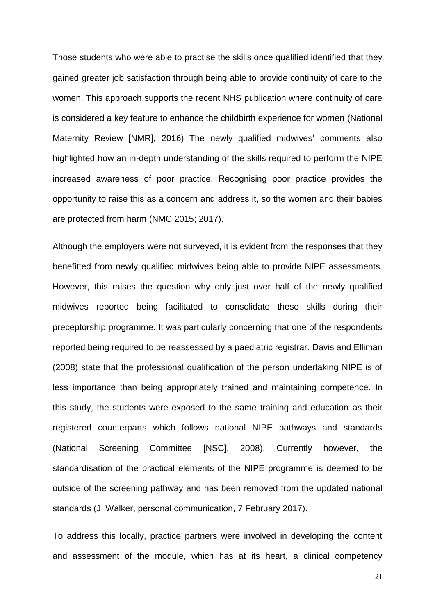Those students who were able to practise the skills once qualified identified that they gained greater job satisfaction through being able to provide continuity of care to the women. This approach supports the recent NHS publication where continuity of care is considered a key feature to enhance the childbirth experience for women (National Maternity Review [NMR], 2016) The newly qualified midwives' comments also highlighted how an in-depth understanding of the skills required to perform the NIPE increased awareness of poor practice. Recognising poor practice provides the opportunity to raise this as a concern and address it, so the women and their babies are protected from harm (NMC 2015; 2017).

Although the employers were not surveyed, it is evident from the responses that they benefitted from newly qualified midwives being able to provide NIPE assessments. However, this raises the question why only just over half of the newly qualified midwives reported being facilitated to consolidate these skills during their preceptorship programme. It was particularly concerning that one of the respondents reported being required to be reassessed by a paediatric registrar. Davis and Elliman (2008) state that the professional qualification of the person undertaking NIPE is of less importance than being appropriately trained and maintaining competence. In this study, the students were exposed to the same training and education as their registered counterparts which follows national NIPE pathways and standards (National Screening Committee [NSC], 2008). Currently however, the standardisation of the practical elements of the NIPE programme is deemed to be outside of the screening pathway and has been removed from the updated national standards (J. Walker, personal communication, 7 February 2017).

To address this locally, practice partners were involved in developing the content and assessment of the module, which has at its heart, a clinical competency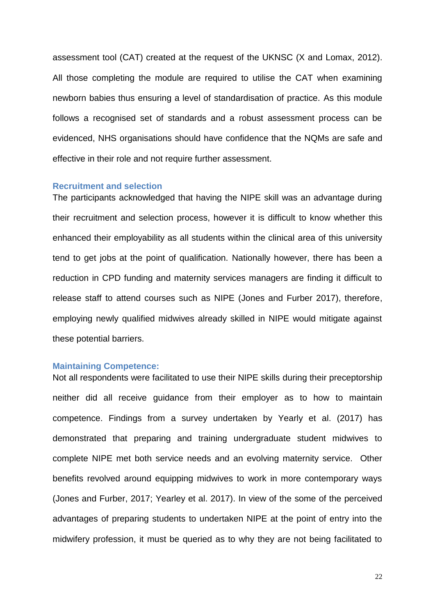assessment tool (CAT) created at the request of the UKNSC (X and Lomax, 2012). All those completing the module are required to utilise the CAT when examining newborn babies thus ensuring a level of standardisation of practice. As this module follows a recognised set of standards and a robust assessment process can be evidenced, NHS organisations should have confidence that the NQMs are safe and effective in their role and not require further assessment.

#### **Recruitment and selection**

The participants acknowledged that having the NIPE skill was an advantage during their recruitment and selection process, however it is difficult to know whether this enhanced their employability as all students within the clinical area of this university tend to get jobs at the point of qualification. Nationally however, there has been a reduction in CPD funding and maternity services managers are finding it difficult to release staff to attend courses such as NIPE (Jones and Furber 2017), therefore, employing newly qualified midwives already skilled in NIPE would mitigate against these potential barriers.

#### **Maintaining Competence:**

Not all respondents were facilitated to use their NIPE skills during their preceptorship neither did all receive guidance from their employer as to how to maintain competence. Findings from a survey undertaken by Yearly et al. (2017) has demonstrated that preparing and training undergraduate student midwives to complete NIPE met both service needs and an evolving maternity service. Other benefits revolved around equipping midwives to work in more contemporary ways (Jones and Furber, 2017; Yearley et al. 2017). In view of the some of the perceived advantages of preparing students to undertaken NIPE at the point of entry into the midwifery profession, it must be queried as to why they are not being facilitated to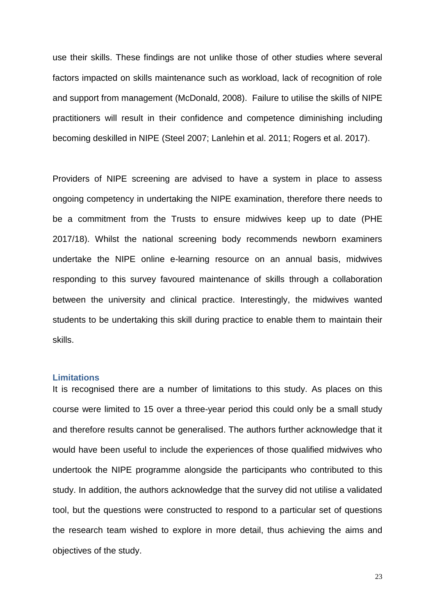use their skills. These findings are not unlike those of other studies where several factors impacted on skills maintenance such as workload, lack of recognition of role and support from management (McDonald, 2008). Failure to utilise the skills of NIPE practitioners will result in their confidence and competence diminishing including becoming deskilled in NIPE (Steel 2007; Lanlehin et al. 2011; Rogers et al. 2017).

Providers of NIPE screening are advised to have a system in place to assess ongoing competency in undertaking the NIPE examination, therefore there needs to be a commitment from the Trusts to ensure midwives keep up to date (PHE 2017/18). Whilst the national screening body recommends newborn examiners undertake the NIPE online e-learning resource on an annual basis, midwives responding to this survey favoured maintenance of skills through a collaboration between the university and clinical practice. Interestingly, the midwives wanted students to be undertaking this skill during practice to enable them to maintain their skills.

#### **Limitations**

It is recognised there are a number of limitations to this study. As places on this course were limited to 15 over a three-year period this could only be a small study and therefore results cannot be generalised. The authors further acknowledge that it would have been useful to include the experiences of those qualified midwives who undertook the NIPE programme alongside the participants who contributed to this study. In addition, the authors acknowledge that the survey did not utilise a validated tool, but the questions were constructed to respond to a particular set of questions the research team wished to explore in more detail, thus achieving the aims and objectives of the study.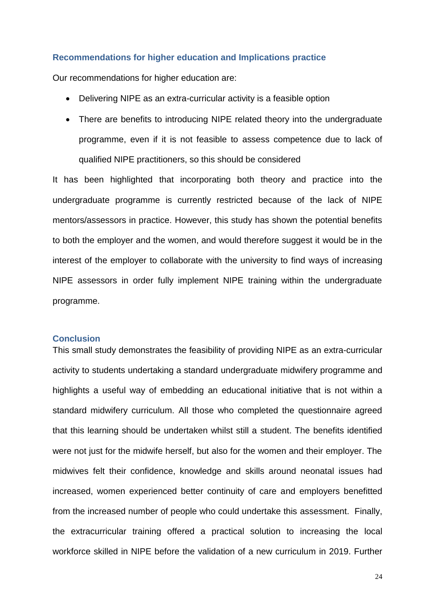#### **Recommendations for higher education and Implications practice**

Our recommendations for higher education are:

- Delivering NIPE as an extra-curricular activity is a feasible option
- There are benefits to introducing NIPE related theory into the undergraduate programme, even if it is not feasible to assess competence due to lack of qualified NIPE practitioners, so this should be considered

It has been highlighted that incorporating both theory and practice into the undergraduate programme is currently restricted because of the lack of NIPE mentors/assessors in practice. However, this study has shown the potential benefits to both the employer and the women, and would therefore suggest it would be in the interest of the employer to collaborate with the university to find ways of increasing NIPE assessors in order fully implement NIPE training within the undergraduate programme.

#### **Conclusion**

This small study demonstrates the feasibility of providing NIPE as an extra-curricular activity to students undertaking a standard undergraduate midwifery programme and highlights a useful way of embedding an educational initiative that is not within a standard midwifery curriculum. All those who completed the questionnaire agreed that this learning should be undertaken whilst still a student. The benefits identified were not just for the midwife herself, but also for the women and their employer. The midwives felt their confidence, knowledge and skills around neonatal issues had increased, women experienced better continuity of care and employers benefitted from the increased number of people who could undertake this assessment. Finally, the extracurricular training offered a practical solution to increasing the local workforce skilled in NIPE before the validation of a new curriculum in 2019. Further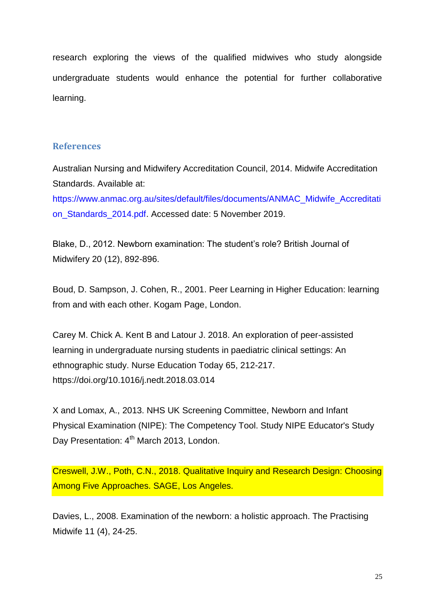research exploring the views of the qualified midwives who study alongside undergraduate students would enhance the potential for further collaborative learning.

### **References**

Australian Nursing and Midwifery Accreditation Council, 2014. Midwife Accreditation Standards. Available at:

[https://www.anmac.org.au/sites/default/files/documents/ANMAC\\_Midwife\\_Accreditati](https://www.anmac.org.au/sites/default/files/documents/ANMAC_Midwife_Accreditation_Standards_2014.pdf) [on\\_Standards\\_2014.pdf.](https://www.anmac.org.au/sites/default/files/documents/ANMAC_Midwife_Accreditation_Standards_2014.pdf) Accessed date: 5 November 2019.

Blake, D., 2012. Newborn examination: The student's role? British Journal of Midwifery 20 (12), 892-896.

Boud, D. Sampson, J. Cohen, R., 2001. Peer Learning in Higher Education: learning from and with each other. Kogam Page, London.

Carey M. Chick A. Kent B and Latour J. 2018. An exploration of peer-assisted learning in undergraduate nursing students in paediatric clinical settings: An ethnographic study. Nurse Education Today 65, 212-217. <https://doi.org/10.1016/j.nedt.2018.03.014>

X and Lomax, A., 2013. NHS UK Screening Committee, Newborn and Infant Physical Examination (NIPE): The Competency Tool. Study NIPE Educator's Study Day Presentation: 4<sup>th</sup> March 2013, London.

Creswell, J.W., Poth, C.N., 2018. Qualitative Inquiry and Research Design: Choosing Among Five Approaches. SAGE, Los Angeles.

Davies, L., 2008. Examination of the newborn: a holistic approach. The Practising Midwife 11 (4), 24-25.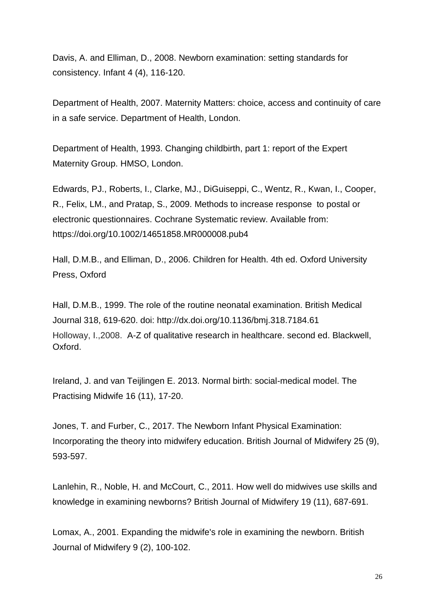Davis, A. and Elliman, D., 2008. Newborn examination: setting standards for consistency. Infant 4 (4), 116-120.

Department of Health, 2007. Maternity Matters: choice, access and continuity of care in a safe service. Department of Health, London.

Department of Health, 1993. Changing childbirth, part 1: report of the Expert Maternity Group. HMSO, London.

[Edwards,](https://www.cochranelibrary.com/cdsr/doi/10.1002/14651858.MR000008.pub4/information#MR000008-cr-0002) PJ., Roberts, I., Clarke, MJ., DiGuiseppi, C., Wentz, R., Kwan, I., Cooper, R., Felix, LM., and Pratap, S., 2009. Methods to increase response to postal or electronic questionnaires. Cochrane Systematic review. Available from: https://doi.org/10.1002/14651858.MR000008.pub4

Hall, D.M.B., and Elliman, D., 2006. Children for Health. 4th ed. Oxford University Press, Oxford

Hall, D.M.B., 1999. The role of the routine neonatal examination. British Medical Journal 318, 619-620. doi:<http://dx.doi.org/10.1136/bmj.318.7184.61> Holloway, I.,2008. A-Z of qualitative research in healthcare. second ed. Blackwell, Oxford.

Ireland, J. and van Teijlingen E. 2013. Normal birth: social-medical model. The Practising Midwife 16 (11), 17-20.

Jones, T. and Furber, C., 2017. The Newborn Infant Physical Examination: Incorporating the theory into midwifery education. British Journal of Midwifery 25 (9), 593-597.

Lanlehin, R., Noble, H. and McCourt, C., 2011. How well do midwives use skills and knowledge in examining newborns? British Journal of Midwifery 19 (11), 687-691.

Lomax, A., 2001. Expanding the midwife's role in examining the newborn. British Journal of Midwifery 9 (2), 100-102.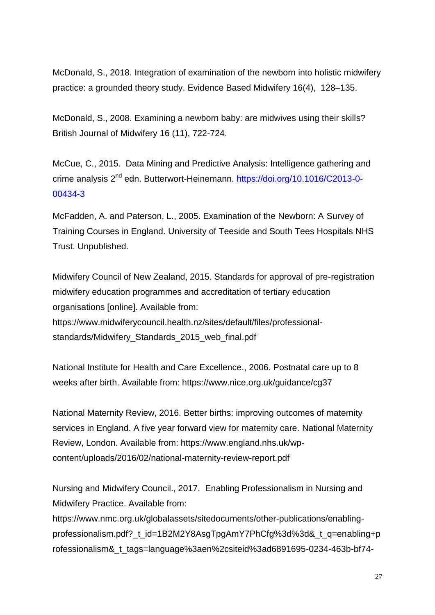McDonald, S., 2018. Integration of examination of the newborn into holistic midwifery practice: a grounded theory study. Evidence Based Midwifery 16(4), 128–135.

McDonald, S., 2008. Examining a newborn baby: are midwives using their skills? British Journal of Midwifery 16 (11), 722-724.

McCue, C., 2015. Data Mining and Predictive Analysis: Intelligence gathering and crime analysis 2<sup>nd</sup> edn. Butterwort-Heinemann. [https://doi.org/10.1016/C2013-0-](https://doi.org/10.1016/C2013-0-00434-3) [00434-3](https://doi.org/10.1016/C2013-0-00434-3)

McFadden, A. and Paterson, L., 2005. Examination of the Newborn: A Survey of Training Courses in England. University of Teeside and South Tees Hospitals NHS Trust. Unpublished.

Midwifery Council of New Zealand, 2015. Standards for approval of pre-registration midwifery education programmes and accreditation of tertiary education organisations [online]. Available from: [https://www.midwiferycouncil.health.nz/sites/default/files/professional](https://www.midwiferycouncil.health.nz/sites/default/files/professional-standards/Midwifery_Standards_2015_web_final.pdf%20Accessed%2012/10/2017)[standards/Midwifery\\_Standards\\_2015\\_web\\_final.pdf](https://www.midwiferycouncil.health.nz/sites/default/files/professional-standards/Midwifery_Standards_2015_web_final.pdf%20Accessed%2012/10/2017) 

National Institute for Health and Care Excellence., 2006. Postnatal care up to 8 weeks after birth. Available from: https://www.nice.org.uk/guidance/cg37

National Maternity Review, 2016. Better births: improving outcomes of maternity services in England. A five year forward view for maternity care. National Maternity Review, London. Available from: https://www.england.nhs.uk/wpcontent/uploads/2016/02/national-maternity-review-report.pdf

Nursing and Midwifery Council., 2017. Enabling Professionalism in Nursing and Midwifery Practice. Available from:

https://www.nmc.org.uk/globalassets/sitedocuments/other-publications/enablingprofessionalism.pdf?\_t\_id=1B2M2Y8AsgTpgAmY7PhCfg%3d%3d&\_t\_q=enabling+p rofessionalism&\_t\_tags=language%3aen%2csiteid%3ad6891695-0234-463b-bf74-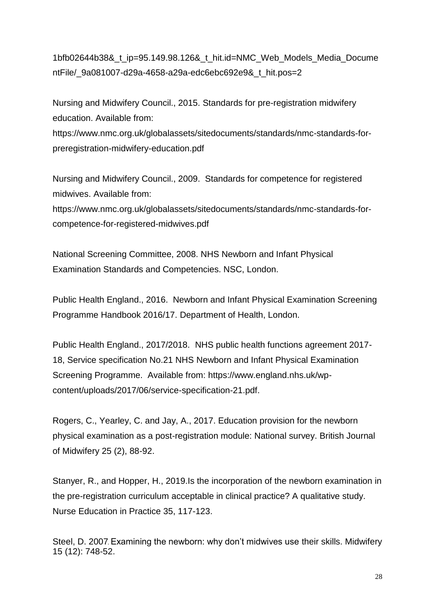1bfb02644b38&\_t\_ip=95.149.98.126&\_t\_hit.id=NMC\_Web\_Models\_Media\_Docume ntFile/ 9a081007-d29a-4658-a29a-edc6ebc692e9& t hit.pos=2

Nursing and Midwifery Council., 2015. Standards for pre-registration midwifery education. Available from: https://www.nmc.org.uk/globalassets/sitedocuments/standards/nmc-standards-forpreregistration-midwifery-education.pdf

Nursing and Midwifery Council., 2009. Standards for competence for registered midwives. Available from: [https://www.nmc.org.uk/globalassets/sitedocuments/standards/nmc-standards-for](https://www.nmc.org.uk/globalassets/sitedocuments/standards/nmc-standards-for-competence-for-registered-midwives.pdf)[competence-for-registered-midwives.pdf](https://www.nmc.org.uk/globalassets/sitedocuments/standards/nmc-standards-for-competence-for-registered-midwives.pdf)

National Screening Committee, 2008. NHS Newborn and Infant Physical Examination Standards and Competencies. NSC, London.

Public Health England., 2016. Newborn and Infant Physical Examination Screening Programme Handbook 2016/17. Department of Health, London.

Public Health England., 2017/2018. NHS public health functions agreement 2017- 18, Service specification No.21 NHS Newborn and Infant Physical Examination Screening Programme. Available from: [https://www.england.nhs.uk/wp](https://www.england.nhs.uk/wp-content/uploads/2017/06/service-specification-21.pdf)[content/uploads/2017/06/service-specification-21.pdf.](https://www.england.nhs.uk/wp-content/uploads/2017/06/service-specification-21.pdf)

Rogers, C., Yearley, C. and Jay, A., 2017. Education provision for the newborn physical examination as a post-registration module: National survey. British Journal of Midwifery 25 (2), 88-92.

Stanyer, R., and Hopper, H., 2019.Is the incorporation of the newborn examination in the pre-registration curriculum acceptable in clinical practice? A qualitative study. Nurse Education in Practice 35, 117-123.

Steel, D. 2007. Examining the newborn: why don't midwives use their skills. Midwifery 15 (12): 748-52.